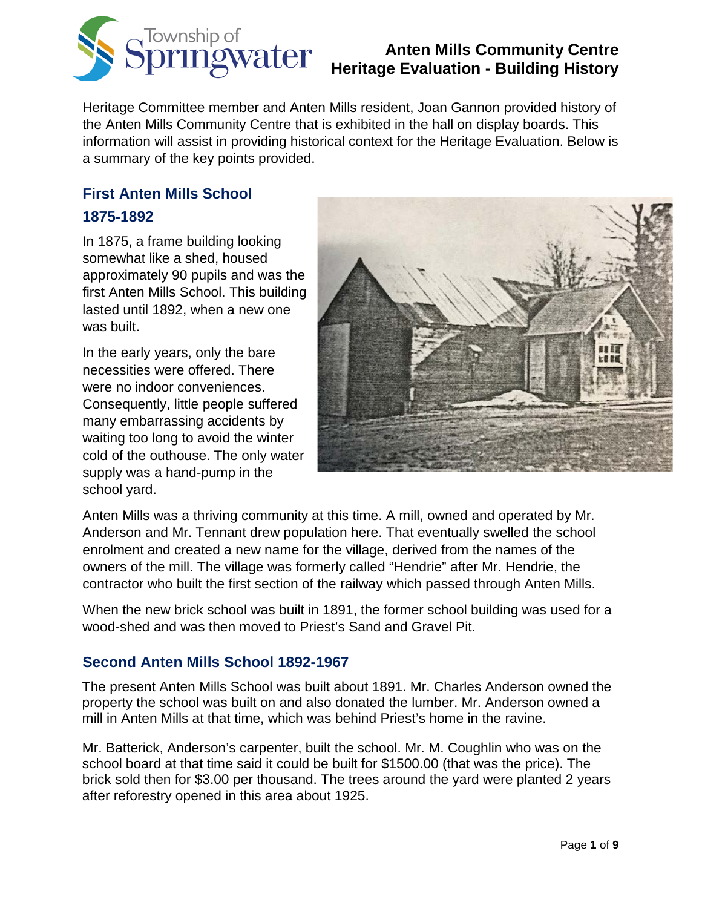

Heritage Committee member and Anten Mills resident, Joan Gannon provided history of the Anten Mills Community Centre that is exhibited in the hall on display boards. This information will assist in providing historical context for the Heritage Evaluation. Below is a summary of the key points provided.

### **First Anten Mills School 1875-1892**

In 1875, a frame building looking somewhat like a shed, housed approximately 90 pupils and was the first Anten Mills School. This building lasted until 1892, when a new one was built.

In the early years, only the bare necessities were offered. There were no indoor conveniences. Consequently, little people suffered many embarrassing accidents by waiting too long to avoid the winter cold of the outhouse. The only water supply was a hand-pump in the school yard.



Anten Mills was a thriving community at this time. A mill, owned and operated by Mr. Anderson and Mr. Tennant drew population here. That eventually swelled the school enrolment and created a new name for the village, derived from the names of the owners of the mill. The village was formerly called "Hendrie" after Mr. Hendrie, the contractor who built the first section of the railway which passed through Anten Mills.

When the new brick school was built in 1891, the former school building was used for a wood-shed and was then moved to Priest's Sand and Gravel Pit.

### **Second Anten Mills School 1892-1967**

The present Anten Mills School was built about 1891. Mr. Charles Anderson owned the property the school was built on and also donated the lumber. Mr. Anderson owned a mill in Anten Mills at that time, which was behind Priest's home in the ravine.

Mr. Batterick, Anderson's carpenter, built the school. Mr. M. Coughlin who was on the school board at that time said it could be built for \$1500.00 (that was the price). The brick sold then for \$3.00 per thousand. The trees around the yard were planted 2 years after reforestry opened in this area about 1925.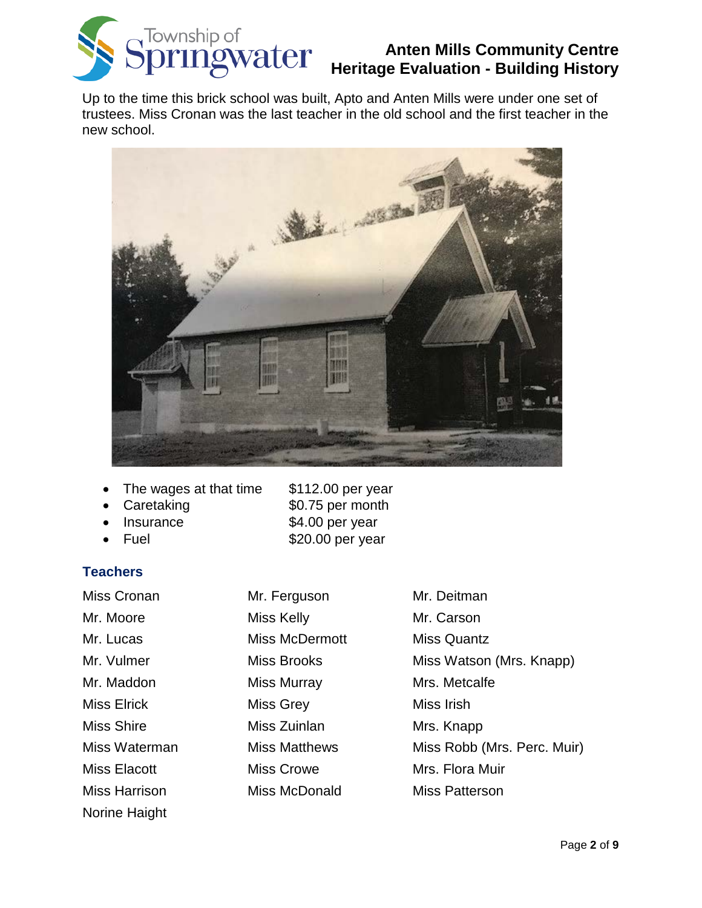

Up to the time this brick school was built, Apto and Anten Mills were under one set of trustees. Miss Cronan was the last teacher in the old school and the first teacher in the new school.



- The wages at that time \$112.00 per year
- 
- 
- 

#### **Teachers**

Norine Haight

Caretaking \$0.75 per month

- Insurance \$4.00 per year
- Fuel  $$20.00$  per year

Miss Cronan Mr. Ferguson Mr. Deitman Mr. Moore Miss Kelly Mr. Carson Mr. Lucas Miss McDermott Miss Quantz Mr. Vulmer **Miss Brooks** Miss Miss Watson (Mrs. Knapp) Mr. Maddon Miss Murray Mrs. Metcalfe Miss Elrick Miss Grey Miss Irish Miss Shire **Miss Zuinlan** Mrs. Knapp Miss Waterman Miss Matthews Miss Robb (Mrs. Perc. Muir) Miss Elacott **Miss Crowe** Miss Crowe Mrs. Flora Muir Miss Harrison Miss McDonald Miss Patterson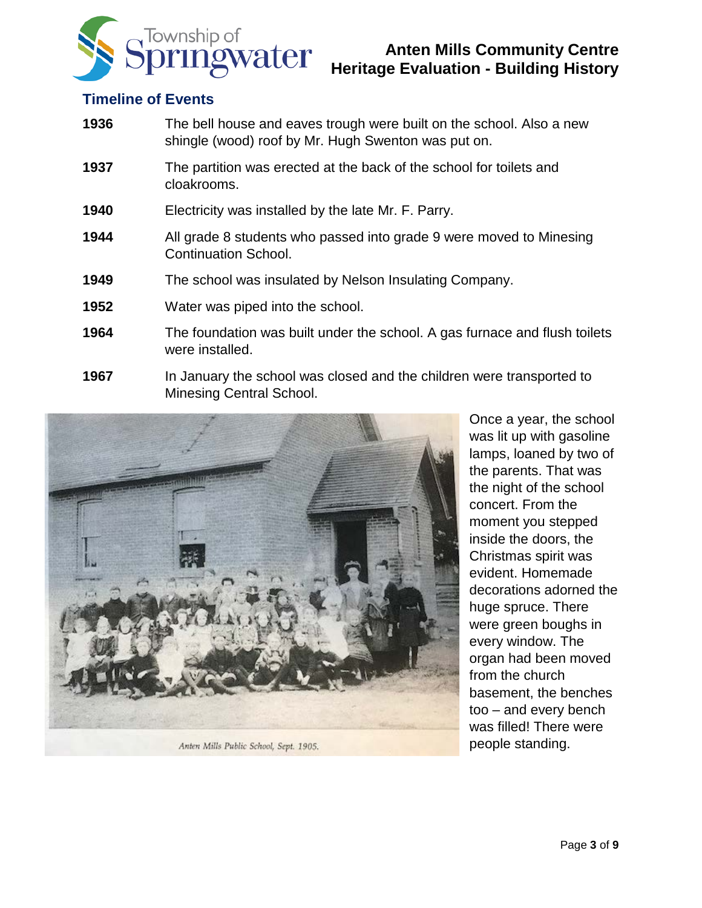

### **Timeline of Events**

- **1936** The bell house and eaves trough were built on the school. Also a new shingle (wood) roof by Mr. Hugh Swenton was put on.
- **1937** The partition was erected at the back of the school for toilets and cloakrooms.
- **1940** Electricity was installed by the late Mr. F. Parry.
- **1944** All grade 8 students who passed into grade 9 were moved to Minesing Continuation School.
- **1949** The school was insulated by Nelson Insulating Company.
- **1952** Water was piped into the school.
- **1964** The foundation was built under the school. A gas furnace and flush toilets were installed.
- **1967** In January the school was closed and the children were transported to Minesing Central School.



Anten Mills Public School, Sept. 1905.

Once a year, the school was lit up with gasoline lamps, loaned by two of the parents. That was the night of the school concert. From the moment you stepped inside the doors, the Christmas spirit was evident. Homemade decorations adorned the huge spruce. There were green boughs in every window. The organ had been moved from the church basement, the benches too – and every bench was filled! There were people standing.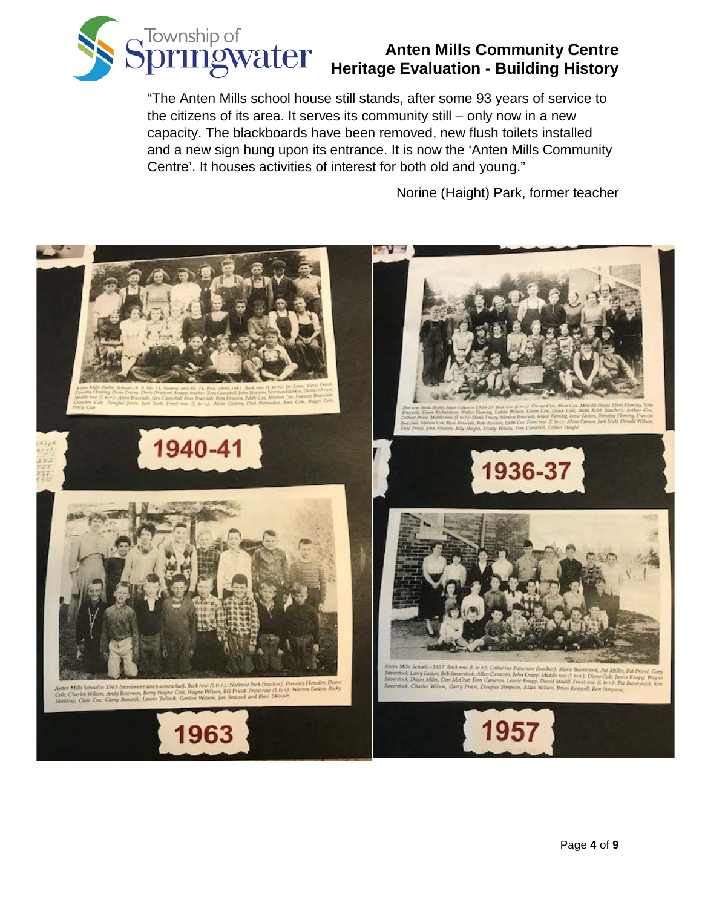

"The Anten Mills school house still stands, after some 93 years of service to the citizens of its area. It serves its community still – only now in a new capacity. The blackboards have been removed, new flush toilets installed and a new sign hung upon its entrance. It is now the 'Anten Mills Community Centre'. It houses activities of interest for both old and young."

Norine (Haight) Park, former teacher

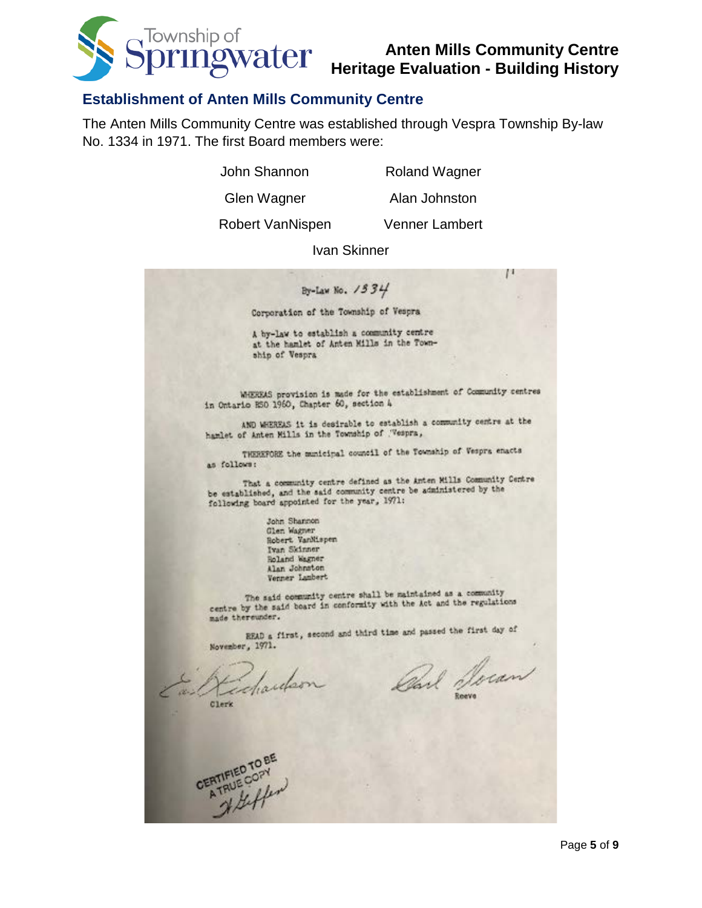

П

#### **Establishment of Anten Mills Community Centre**

The Anten Mills Community Centre was established through Vespra Township By-law No. 1334 in 1971. The first Board members were:

John Shannon Roland Wagner

Glen Wagner Alan Johnston

Robert VanNispen Venner Lambert

Ivan SkinnerBy-Law No. 1534 Corporation of the Township of Vespra A by-law to establish a community centre at the hamlet of Anten Mills in the Township of Vespra WHEREAS provision is made for the establishment of Community centres in Ontario HSO 1960, Chapter 60, section 4 AND WHEREAS it is desirable to establish a community centre at the hamlet of Anten Mills in the Township of Wespra, THEREFORE the municipal council of the Township of Vespra enacts as follows: That a community centre defined as the Anten Mills Community Centre be established, and the said community centre be administered by the following board appointed for the year, 1971: John Shannon Glen Wagner Robert VanMispen Ivan Skinner Roland Wagner Alan Johnston Venner Lambert The said community centre shall be maintained as a community The said community centre shall be maintained as a community of the said board in conformity with the Act and the regulations made thereunder.

READ a first, second and third time and passed the first day of November, 1971.

Edwards

Bark Socan

Clerk

CERTIFIED TO BE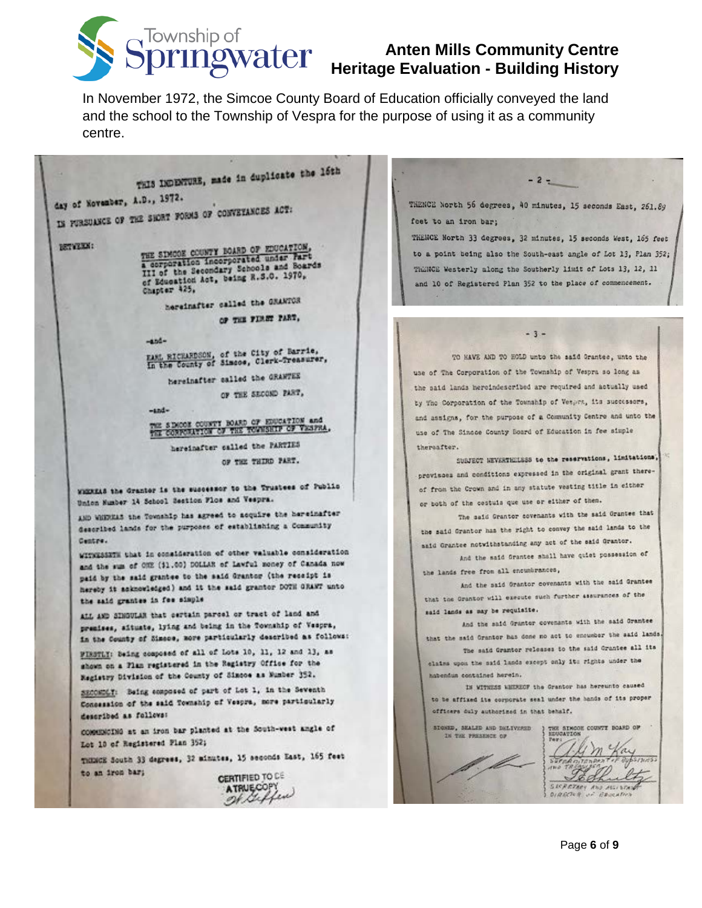

In November 1972, the Simcoe County Board of Education officially conveyed the land and the school to the Township of Vespra for the purpose of using it as a community centre.

THIS INDINTURE, made in duplicate the 16th

day of November, A.D., 1972.

IN FURSUANCE OF THE SHORT FORMS OF CONVETANCES ACT:

BETWEEN:

THE SIMODE COUNTY BOARD OF EDUCATION, a corporation incorporated under Fart<br>III of the Secondary Schools and Boards<br>III of the Secondary Schools and Boards III of the Secondary Senocis er Education Act, being R.S.O. 1970,

hereinafter called the GRANTOR

OF THE FIRST PART,

 $-4nd -$ 

FAME RICHARDSON, of the City of Barrie,<br>In the County of Simose, Clerk-Treasurer,

hereinafter called the GRAWTEE OF THE SECOND PART,

 $-and -$ 

THE SIMOON COUNTY HOARD OF EDUCATION and the CONFORNICH OF THE TOWNSHIP OF VERTIA.

hereinafter called the PARTIES OF THE THIRD PART.

WHEREAS the Grantor is the suscessor to the Trustees of Public Union Number 14 School Section Flos and Vespra.

AND WHEREAS the Township has agreed to acquire the hereinafter described lands for the purposes of establishing a Community Centre.

WITNESSETH that in consideration of other valuable consideration and the sum of CHE (\$1.00) DOLLAR of Lawful money of Canada now paid by the said grantee to the said Grantor (the receipt is hereby it asknowledged) and it the said grantor DOTH GRANT unto the said grantes in fee simple

ALL AND SINGULAR that certain parcel or tract of land and premises, situate, lying and being in the Township of Vespra, in the County of Sizece, more particularly described as follows:

PIRSTLY: Being composed of all of Lots 10, 11, 12 and 13, as shown on a Flan registered in the Registry Office for the Registry Division of the County of Simooe as Number 352.

SECONDLY: Being composed of part of Lot 1, in the Seventh Concession of the said Township of Vespra, more particularly described as follows:

communicial at an iron bar planted at the South-west angle of Lot 10 of Registered Plan 352;

THINCE South 33 degrees, 32 minutes, 15 seconds East, 165 feet to an iron bar;

CERTIFIED TO DE ATRUECOPY THENCE North 56 degrees, 40 minutes, 15 seconds East, 261.89 feet to an iron bar;

 $-2-$ 

THENCE North 33 degrees, 32 minutes, 15 seconds West, 165 feet to a point being also the South-east angle of Lot 13, Plan 352; ThinKCE Westerly along the Southerly limit of Lots 13, 12, 11 and 10 of Registered Plan 352 to the place of commencement.

 $-3 -$ 

TO HAVE AND TO HOLD unto the said Grantee, unto the use of The Corporation of the Township of Vespra so long as the said lands hereindescribed are required and actually used by The Corporation of the Township of Vetpra, its successors, and assigns, for the purpose of a Community Centre and unto the use of The Sincoe County Board of Education in fee simple thereafter.

SUBJECT NEVERTHELESS to the reservations, limitations, provisess and conditions expressed in the original grant thereof from the Crown and in any statute vesting title in either or both of the cestuis que use or either of them.

The said Grantor covenants with the said Grantee that the said Grantor has the right to convey the said lands to the said Grantee notwithstanding any act of the said Grantor.

And the said Grantee shall have quiet possession of the lands free from all encumbrances,

And the said Grantor covenants with the said Grantee that the Grantor will execute such further assurances of the said lands as may be requisite.

And the said Granter covenants with the said Grantee that the maid Grantor has done no act to encumber the said lands.

The said Grantor releases to the said Grantee all its claims upon the said lands except only its rights under the habendus contained herein.

IN WITHESS WHEREOF the Grantor has hereunto caused to be affixed its corporate seal under the hands of its proper officers duly authorized in that behalf.

THE SIMOON COUNTY BOARD OF STONED, SEALED AND DELIVERED. IN THE PRESENCE OF 'L Bell  $d\mathbf{E}$ SECRETARY AND ASSISTAN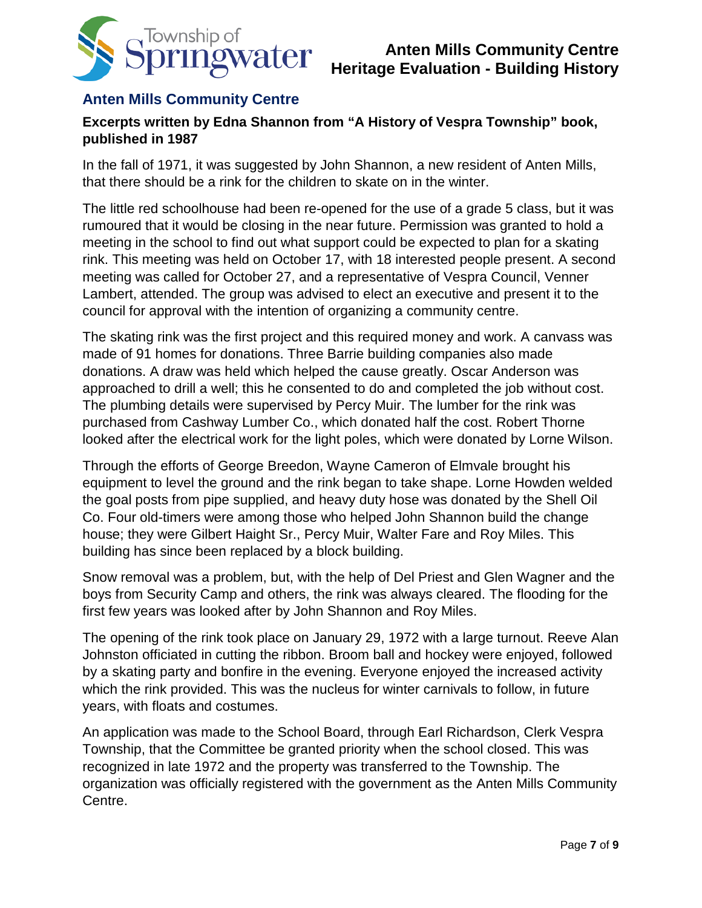

### **Anten Mills Community Centre**

#### **Excerpts written by Edna Shannon from "A History of Vespra Township" book, published in 1987**

In the fall of 1971, it was suggested by John Shannon, a new resident of Anten Mills, that there should be a rink for the children to skate on in the winter.

The little red schoolhouse had been re-opened for the use of a grade 5 class, but it was rumoured that it would be closing in the near future. Permission was granted to hold a meeting in the school to find out what support could be expected to plan for a skating rink. This meeting was held on October 17, with 18 interested people present. A second meeting was called for October 27, and a representative of Vespra Council, Venner Lambert, attended. The group was advised to elect an executive and present it to the council for approval with the intention of organizing a community centre.

The skating rink was the first project and this required money and work. A canvass was made of 91 homes for donations. Three Barrie building companies also made donations. A draw was held which helped the cause greatly. Oscar Anderson was approached to drill a well; this he consented to do and completed the job without cost. The plumbing details were supervised by Percy Muir. The lumber for the rink was purchased from Cashway Lumber Co., which donated half the cost. Robert Thorne looked after the electrical work for the light poles, which were donated by Lorne Wilson.

Through the efforts of George Breedon, Wayne Cameron of Elmvale brought his equipment to level the ground and the rink began to take shape. Lorne Howden welded the goal posts from pipe supplied, and heavy duty hose was donated by the Shell Oil Co. Four old-timers were among those who helped John Shannon build the change house; they were Gilbert Haight Sr., Percy Muir, Walter Fare and Roy Miles. This building has since been replaced by a block building.

Snow removal was a problem, but, with the help of Del Priest and Glen Wagner and the boys from Security Camp and others, the rink was always cleared. The flooding for the first few years was looked after by John Shannon and Roy Miles.

The opening of the rink took place on January 29, 1972 with a large turnout. Reeve Alan Johnston officiated in cutting the ribbon. Broom ball and hockey were enjoyed, followed by a skating party and bonfire in the evening. Everyone enjoyed the increased activity which the rink provided. This was the nucleus for winter carnivals to follow, in future years, with floats and costumes.

An application was made to the School Board, through Earl Richardson, Clerk Vespra Township, that the Committee be granted priority when the school closed. This was recognized in late 1972 and the property was transferred to the Township. The organization was officially registered with the government as the Anten Mills Community Centre.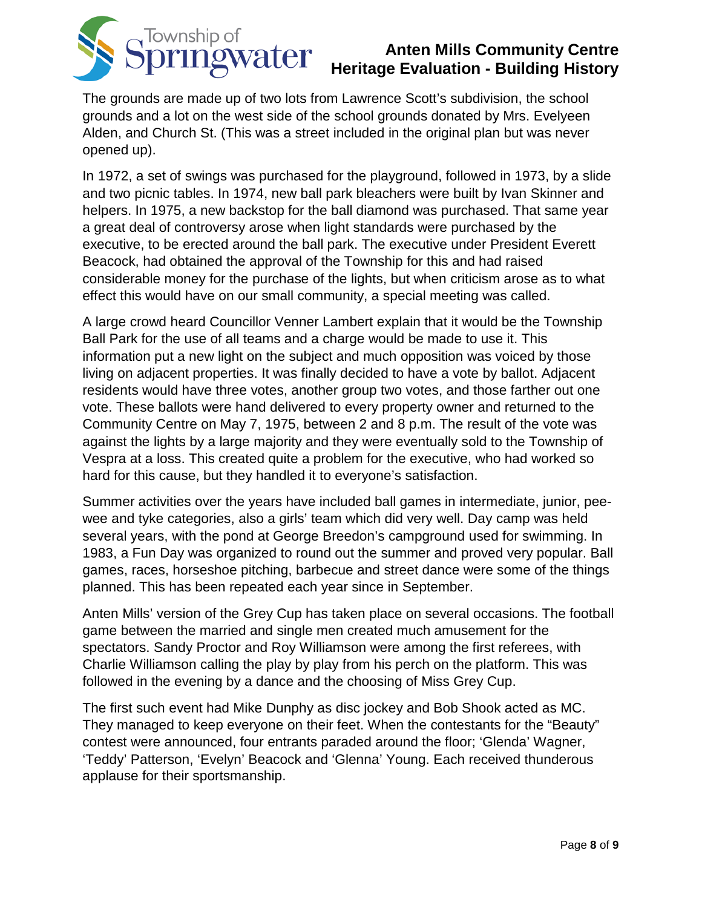

The grounds are made up of two lots from Lawrence Scott's subdivision, the school grounds and a lot on the west side of the school grounds donated by Mrs. Evelyeen Alden, and Church St. (This was a street included in the original plan but was never opened up).

In 1972, a set of swings was purchased for the playground, followed in 1973, by a slide and two picnic tables. In 1974, new ball park bleachers were built by Ivan Skinner and helpers. In 1975, a new backstop for the ball diamond was purchased. That same year a great deal of controversy arose when light standards were purchased by the executive, to be erected around the ball park. The executive under President Everett Beacock, had obtained the approval of the Township for this and had raised considerable money for the purchase of the lights, but when criticism arose as to what effect this would have on our small community, a special meeting was called.

A large crowd heard Councillor Venner Lambert explain that it would be the Township Ball Park for the use of all teams and a charge would be made to use it. This information put a new light on the subject and much opposition was voiced by those living on adjacent properties. It was finally decided to have a vote by ballot. Adjacent residents would have three votes, another group two votes, and those farther out one vote. These ballots were hand delivered to every property owner and returned to the Community Centre on May 7, 1975, between 2 and 8 p.m. The result of the vote was against the lights by a large majority and they were eventually sold to the Township of Vespra at a loss. This created quite a problem for the executive, who had worked so hard for this cause, but they handled it to everyone's satisfaction.

Summer activities over the years have included ball games in intermediate, junior, peewee and tyke categories, also a girls' team which did very well. Day camp was held several years, with the pond at George Breedon's campground used for swimming. In 1983, a Fun Day was organized to round out the summer and proved very popular. Ball games, races, horseshoe pitching, barbecue and street dance were some of the things planned. This has been repeated each year since in September.

Anten Mills' version of the Grey Cup has taken place on several occasions. The football game between the married and single men created much amusement for the spectators. Sandy Proctor and Roy Williamson were among the first referees, with Charlie Williamson calling the play by play from his perch on the platform. This was followed in the evening by a dance and the choosing of Miss Grey Cup.

The first such event had Mike Dunphy as disc jockey and Bob Shook acted as MC. They managed to keep everyone on their feet. When the contestants for the "Beauty" contest were announced, four entrants paraded around the floor; 'Glenda' Wagner, 'Teddy' Patterson, 'Evelyn' Beacock and 'Glenna' Young. Each received thunderous applause for their sportsmanship.